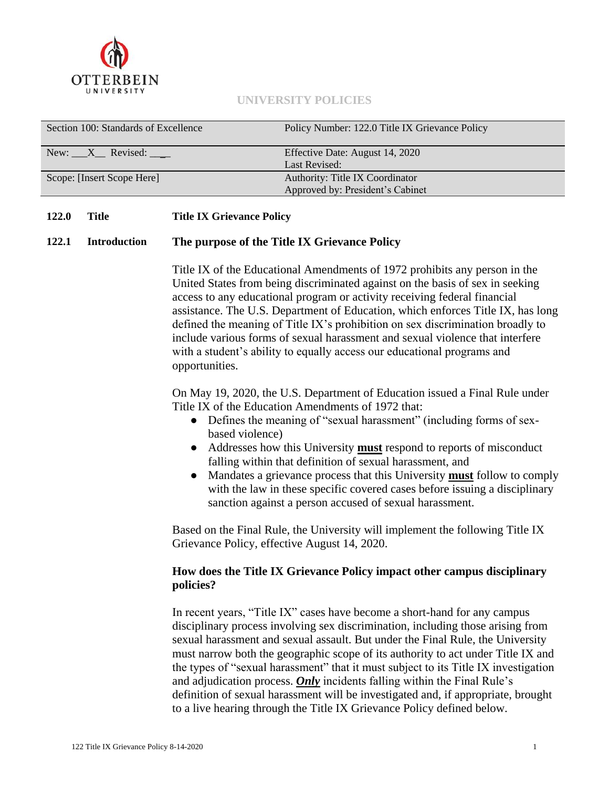

#### **UNIVERSITY POLICIES**

| Section 100: Standards of Excellence | Policy Number: 122.0 Title IX Grievance Policy                      |
|--------------------------------------|---------------------------------------------------------------------|
| New: $X$ Revised: $\frac{X}{X}$      | Effective Date: August 14, 2020<br>Last Revised:                    |
| Scope: [Insert Scope Here]           | Authority: Title IX Coordinator<br>Approved by: President's Cabinet |

#### **122.0 Title Title IX Grievance Policy**

#### **122.1 Introduction The purpose of the Title IX Grievance Policy**

Title IX of the Educational Amendments of 1972 prohibits any person in the United States from being discriminated against on the basis of sex in seeking access to any educational program or activity receiving federal financial assistance. The U.S. Department of Education, which enforces Title IX, has long defined the meaning of Title IX's prohibition on sex discrimination broadly to include various forms of sexual harassment and sexual violence that interfere with a student's ability to equally access our educational programs and opportunities.

On May 19, 2020, the U.S. Department of Education issued a Final Rule under Title IX of the Education Amendments of 1972 that:

- Defines the meaning of "sexual harassment" (including forms of sexbased violence)
- Addresses how this University **must** respond to reports of misconduct falling within that definition of sexual harassment, and
- Mandates a grievance process that this University **must** follow to comply with the law in these specific covered cases before issuing a disciplinary sanction against a person accused of sexual harassment.

Based on the Final Rule, the University will implement the following Title IX Grievance Policy, effective August 14, 2020.

# **How does the Title IX Grievance Policy impact other campus disciplinary policies?**

In recent years, "Title IX" cases have become a short-hand for any campus disciplinary process involving sex discrimination, including those arising from sexual harassment and sexual assault. But under the Final Rule, the University must narrow both the geographic scope of its authority to act under Title IX and the types of "sexual harassment" that it must subject to its Title IX investigation and adjudication process. *Only* incidents falling within the Final Rule's definition of sexual harassment will be investigated and, if appropriate, brought to a live hearing through the Title IX Grievance Policy defined below.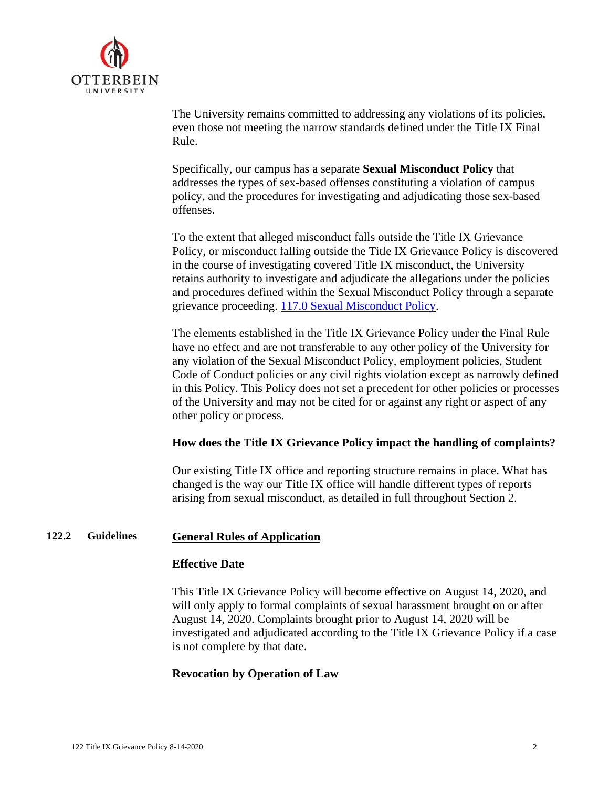

The University remains committed to addressing any violations of its policies, even those not meeting the narrow standards defined under the Title IX Final Rule.

Specifically, our campus has a separate **Sexual Misconduct Policy** that addresses the types of sex-based offenses constituting a violation of campus policy, and the procedures for investigating and adjudicating those sex-based offenses.

To the extent that alleged misconduct falls outside the Title IX Grievance Policy, or misconduct falling outside the Title IX Grievance Policy is discovered in the course of investigating covered Title IX misconduct, the University retains authority to investigate and adjudicate the allegations under the policies and procedures defined within the Sexual Misconduct Policy through a separate grievance proceeding. [117.0 Sexual Misconduct Policy.](https://otterbein.sharepoint.com/sites/myozone/hr/Documents/Forms/AllItems.aspx?id=%2Fsites%2Fmyozone%2Fhr%2FDocuments%2FHR%2FHR%2FUniversity%20Policies%2F01%2DStandards%2F117%2E0%20Sexual%20Misconduct%2F117%2E0%20Sexual%20Misconduct%20Policy%202019%2Epdf&parent=%2Fsites%2Fmyozone%2Fhr%2FDocuments%2FHR%2FHR%2FUniversity%20Policies%2F01%2DStandards%2F117%2E0%20Sexual%20Misconduct&p=true&originalPath=aHR0cHM6Ly9vdHRlcmJlaW4uc2hhcmVwb2ludC5jb20vOmI6L3MvbXlvem9uZS9oci9FZHdxYnoxQ1BrZFBrU1dQMGZldlhQc0J5aEZJbGE4cmJ6VklsUzJ6bG9oRFB3P3J0aW1lPWZmSkV3MkJBMkVn)

The elements established in the Title IX Grievance Policy under the Final Rule have no effect and are not transferable to any other policy of the University for any violation of the Sexual Misconduct Policy, employment policies, Student Code of Conduct policies or any civil rights violation except as narrowly defined in this Policy. This Policy does not set a precedent for other policies or processes of the University and may not be cited for or against any right or aspect of any other policy or process.

# **How does the Title IX Grievance Policy impact the handling of complaints?**

Our existing Title IX office and reporting structure remains in place. What has changed is the way our Title IX office will handle different types of reports arising from sexual misconduct, as detailed in full throughout Section 2.

# **122.2 Guidelines General Rules of Application**

#### **Effective Date**

This Title IX Grievance Policy will become effective on August 14, 2020, and will only apply to formal complaints of sexual harassment brought on or after August 14, 2020. Complaints brought prior to August 14, 2020 will be investigated and adjudicated according to the Title IX Grievance Policy if a case is not complete by that date.

# **Revocation by Operation of Law**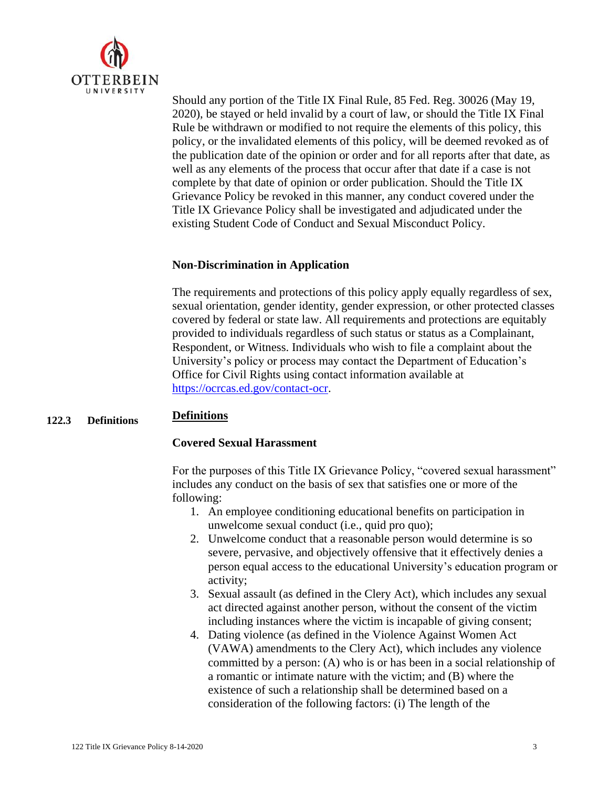

Should any portion of the Title IX Final Rule, 85 Fed. Reg. 30026 (May 19, 2020), be stayed or held invalid by a court of law, or should the Title IX Final Rule be withdrawn or modified to not require the elements of this policy, this policy, or the invalidated elements of this policy, will be deemed revoked as of the publication date of the opinion or order and for all reports after that date, as well as any elements of the process that occur after that date if a case is not complete by that date of opinion or order publication. Should the Title IX Grievance Policy be revoked in this manner, any conduct covered under the Title IX Grievance Policy shall be investigated and adjudicated under the existing Student Code of Conduct and Sexual Misconduct Policy.

# **Non-Discrimination in Application**

The requirements and protections of this policy apply equally regardless of sex, sexual orientation, gender identity, gender expression, or other protected classes covered by federal or state law. All requirements and protections are equitably provided to individuals regardless of such status or status as a Complainant, Respondent, or Witness. Individuals who wish to file a complaint about the University's policy or process may contact the Department of Education's Office for Civil Rights using contact information available at [https://ocrcas.ed.gov/contact-ocr.](https://ocrcas.ed.gov/contact-ocr)

#### **122.3 Definitions Definitions**

#### **Covered Sexual Harassment**

For the purposes of this Title IX Grievance Policy, "covered sexual harassment" includes any conduct on the basis of sex that satisfies one or more of the following:

- 1. An employee conditioning educational benefits on participation in unwelcome sexual conduct (i.e., quid pro quo);
- 2. Unwelcome conduct that a reasonable person would determine is so severe, pervasive, and objectively offensive that it effectively denies a person equal access to the educational University's education program or activity;
- 3. Sexual assault (as defined in the Clery Act), which includes any sexual act directed against another person, without the consent of the victim including instances where the victim is incapable of giving consent;
- 4. Dating violence (as defined in the Violence Against Women Act (VAWA) amendments to the Clery Act), which includes any violence committed by a person: (A) who is or has been in a social relationship of a romantic or intimate nature with the victim; and (B) where the existence of such a relationship shall be determined based on a consideration of the following factors: (i) The length of the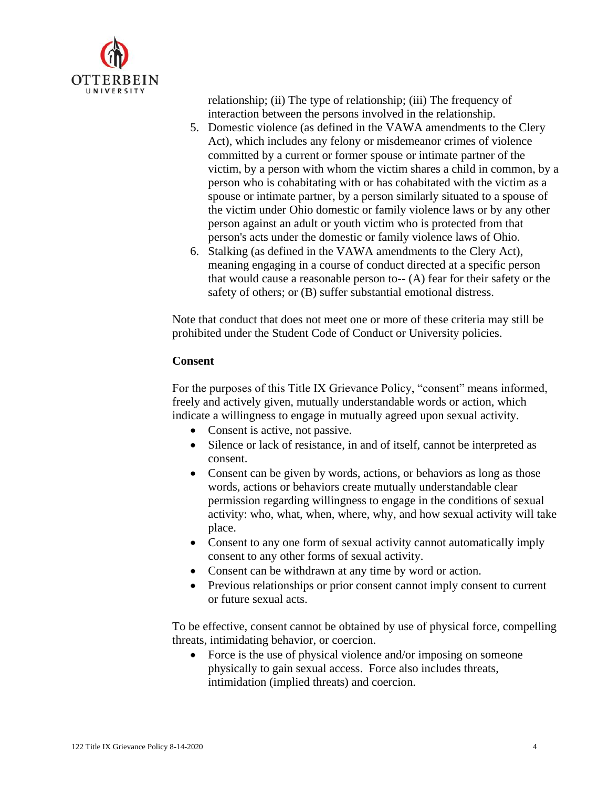

relationship; (ii) The type of relationship; (iii) The frequency of interaction between the persons involved in the relationship.

- 5. Domestic violence (as defined in the VAWA amendments to the Clery Act), which includes any felony or misdemeanor crimes of violence committed by a current or former spouse or intimate partner of the victim, by a person with whom the victim shares a child in common, by a person who is cohabitating with or has cohabitated with the victim as a spouse or intimate partner, by a person similarly situated to a spouse of the victim under Ohio domestic or family violence laws or by any other person against an adult or youth victim who is protected from that person's acts under the domestic or family violence laws of Ohio.
- 6. Stalking (as defined in the VAWA amendments to the Clery Act), meaning engaging in a course of conduct directed at a specific person that would cause a reasonable person to-- (A) fear for their safety or the safety of others; or (B) suffer substantial emotional distress.

Note that conduct that does not meet one or more of these criteria may still be prohibited under the Student Code of Conduct or University policies.

# **Consent**

For the purposes of this Title IX Grievance Policy, "consent" means informed, freely and actively given, mutually understandable words or action, which indicate a willingness to engage in mutually agreed upon sexual activity.

- Consent is active, not passive.
- Silence or lack of resistance, in and of itself, cannot be interpreted as consent.
- Consent can be given by words, actions, or behaviors as long as those words, actions or behaviors create mutually understandable clear permission regarding willingness to engage in the conditions of sexual activity: who, what, when, where, why, and how sexual activity will take place.
- Consent to any one form of sexual activity cannot automatically imply consent to any other forms of sexual activity.
- Consent can be withdrawn at any time by word or action.
- Previous relationships or prior consent cannot imply consent to current or future sexual acts.

To be effective, consent cannot be obtained by use of physical force, compelling threats, intimidating behavior, or coercion.

• Force is the use of physical violence and/or imposing on someone physically to gain sexual access. Force also includes threats, intimidation (implied threats) and coercion.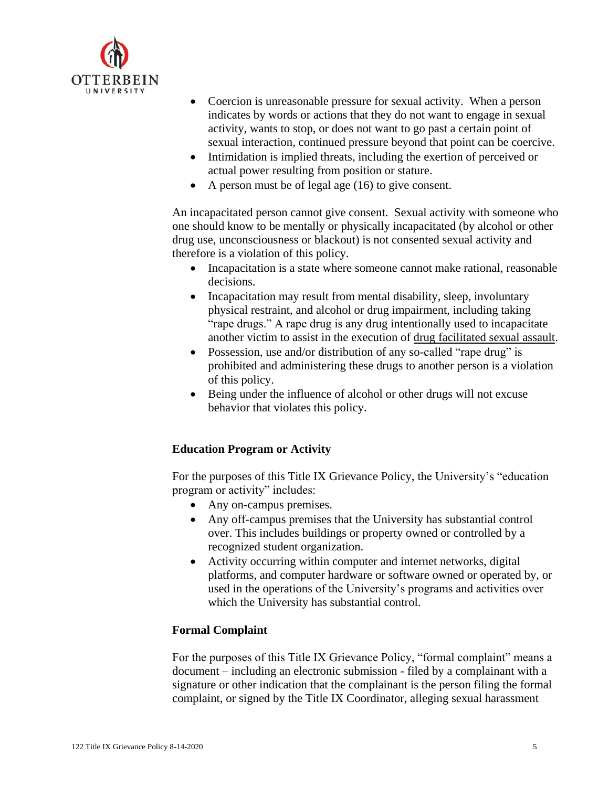

- Coercion is unreasonable pressure for sexual activity. When a person indicates by words or actions that they do not want to engage in sexual activity, wants to stop, or does not want to go past a certain point of sexual interaction, continued pressure beyond that point can be coercive.
- Intimidation is implied threats, including the exertion of perceived or actual power resulting from position or stature.
- A person must be of legal age (16) to give consent.

An incapacitated person cannot give consent. Sexual activity with someone who one should know to be mentally or physically incapacitated (by alcohol or other drug use, unconsciousness or blackout) is not consented sexual activity and therefore is a violation of this policy.

- Incapacitation is a state where someone cannot make rational, reasonable decisions.
- Incapacitation may result from mental disability, sleep, involuntary physical restraint, and alcohol or drug impairment, including taking "rape drugs." A rape drug is any drug intentionally used to incapacitate another victim to assist in the execution of [drug facilitated sexual assault.](http://en.wikipedia.org/wiki/Drug_facilitated_sexual_assault)
- Possession, use and/or distribution of any so-called "rape drug" is prohibited and administering these drugs to another person is a violation of this policy.
- Being under the influence of alcohol or other drugs will not excuse behavior that violates this policy.

# **Education Program or Activity**

For the purposes of this Title IX Grievance Policy, the University's "education program or activity" includes:

- Any on-campus premises.
- Any off-campus premises that the University has substantial control over. This includes buildings or property owned or controlled by a recognized student organization.
- Activity occurring within computer and internet networks, digital platforms, and computer hardware or software owned or operated by, or used in the operations of the University's programs and activities over which the University has substantial control.

# **Formal Complaint**

For the purposes of this Title IX Grievance Policy, "formal complaint" means a document – including an electronic submission - filed by a complainant with a signature or other indication that the complainant is the person filing the formal complaint, or signed by the Title IX Coordinator, alleging sexual harassment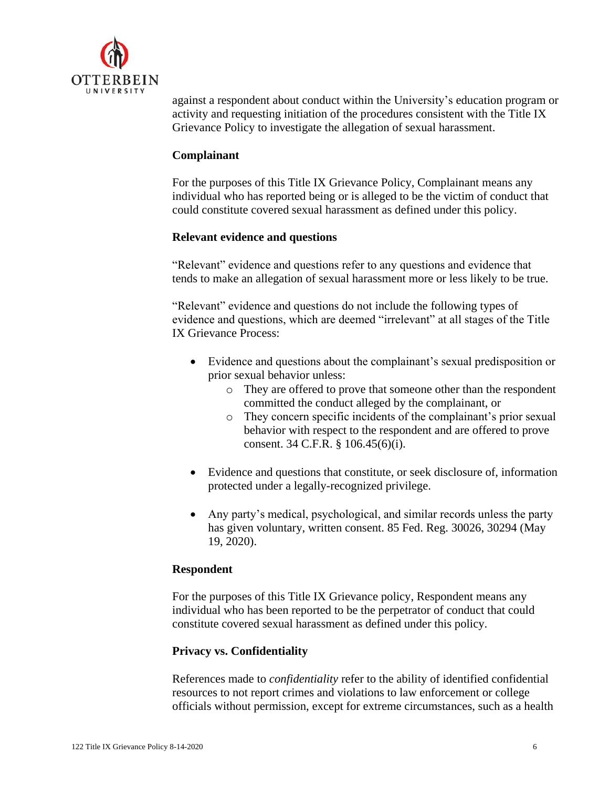

against a respondent about conduct within the University's education program or activity and requesting initiation of the procedures consistent with the Title IX Grievance Policy to investigate the allegation of sexual harassment.

#### **Complainant**

For the purposes of this Title IX Grievance Policy, Complainant means any individual who has reported being or is alleged to be the victim of conduct that could constitute covered sexual harassment as defined under this policy.

# **Relevant evidence and questions**

"Relevant" evidence and questions refer to any questions and evidence that tends to make an allegation of sexual harassment more or less likely to be true.

"Relevant" evidence and questions do not include the following types of evidence and questions, which are deemed "irrelevant" at all stages of the Title IX Grievance Process:

- Evidence and questions about the complainant's sexual predisposition or prior sexual behavior unless:
	- o They are offered to prove that someone other than the respondent committed the conduct alleged by the complainant, or
	- o They concern specific incidents of the complainant's prior sexual behavior with respect to the respondent and are offered to prove consent. 34 C.F.R. § 106.45(6)(i).
- Evidence and questions that constitute, or seek disclosure of, information protected under a legally-recognized privilege.
- Any party's medical, psychological, and similar records unless the party has given voluntary, written consent. 85 Fed. Reg. 30026, 30294 (May 19, 2020).

#### **Respondent**

For the purposes of this Title IX Grievance policy, Respondent means any individual who has been reported to be the perpetrator of conduct that could constitute covered sexual harassment as defined under this policy.

#### **Privacy vs. Confidentiality**

References made to *confidentiality* refer to the ability of identified confidential resources to not report crimes and violations to law enforcement or college officials without permission, except for extreme circumstances, such as a health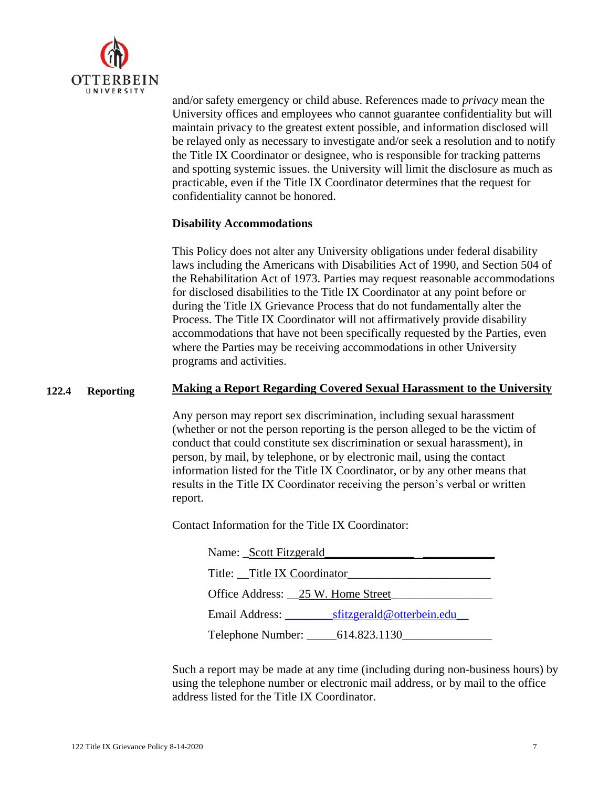

and/or safety emergency or child abuse. References made to *privacy* mean the University offices and employees who cannot guarantee confidentiality but will maintain privacy to the greatest extent possible, and information disclosed will be relayed only as necessary to investigate and/or seek a resolution and to notify the Title IX Coordinator or designee, who is responsible for tracking patterns and spotting systemic issues. the University will limit the disclosure as much as practicable, even if the Title IX Coordinator determines that the request for confidentiality cannot be honored.

#### **Disability Accommodations**

This Policy does not alter any University obligations under federal disability laws including the Americans with Disabilities Act of 1990, and Section 504 of the Rehabilitation Act of 1973. Parties may request reasonable accommodations for disclosed disabilities to the Title IX Coordinator at any point before or during the Title IX Grievance Process that do not fundamentally alter the Process. The Title IX Coordinator will not affirmatively provide disability accommodations that have not been specifically requested by the Parties, even where the Parties may be receiving accommodations in other University programs and activities.

#### **122.4 Reporting Making a Report Regarding Covered Sexual Harassment to the University**

Any person may report sex discrimination, including sexual harassment (whether or not the person reporting is the person alleged to be the victim of conduct that could constitute sex discrimination or sexual harassment), in person, by mail, by telephone, or by electronic mail, using the contact information listed for the Title IX Coordinator, or by any other means that results in the Title IX Coordinator receiving the person's verbal or written report.

Contact Information for the Title IX Coordinator:

| Name: Scott Fitzgerald                      |  |
|---------------------------------------------|--|
| Title: Title IX Coordinator                 |  |
| Office Address: _25 W. Home Street          |  |
| sfitzgerald@otterbein.edu<br>Email Address: |  |
| Telephone Number: _______ 614.823.1130      |  |

Such a report may be made at any time (including during non-business hours) by using the telephone number or electronic mail address, or by mail to the office address listed for the Title IX Coordinator.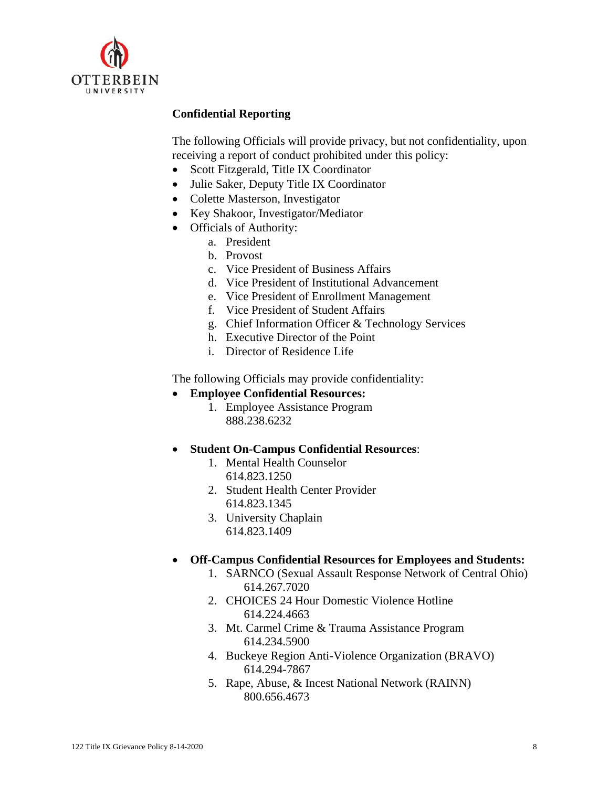

# **Confidential Reporting**

The following Officials will provide privacy, but not confidentiality, upon receiving a report of conduct prohibited under this policy:

- Scott Fitzgerald, Title IX Coordinator
- Julie Saker, Deputy Title IX Coordinator
- Colette Masterson, Investigator
- Key Shakoor, Investigator/Mediator
- Officials of Authority:
	- a. President
	- b. Provost
	- c. Vice President of Business Affairs
	- d. Vice President of Institutional Advancement
	- e. Vice President of Enrollment Management
	- f. Vice President of Student Affairs
	- g. Chief Information Officer & Technology Services
	- h. Executive Director of the Point
	- i. Director of Residence Life

The following Officials may provide confidentiality:

- **Employee Confidential Resources:** 
	- 1. Employee Assistance Program 888.238.6232
- **Student On-Campus Confidential Resources**:
	- 1. Mental Health Counselor 614.823.1250
	- 2. Student Health Center Provider 614.823.1345
	- 3. University Chaplain 614.823.1409
- **Off-Campus Confidential Resources for Employees and Students:**
	- 1. SARNCO (Sexual Assault Response Network of Central Ohio) 614.267.7020
	- 2. CHOICES 24 Hour Domestic Violence Hotline 614.224.4663
	- 3. Mt. Carmel Crime & Trauma Assistance Program 614.234.5900
	- 4. Buckeye Region Anti-Violence Organization (BRAVO) 614.294-7867
	- 5. Rape, Abuse, & Incest National Network (RAINN) 800.656.4673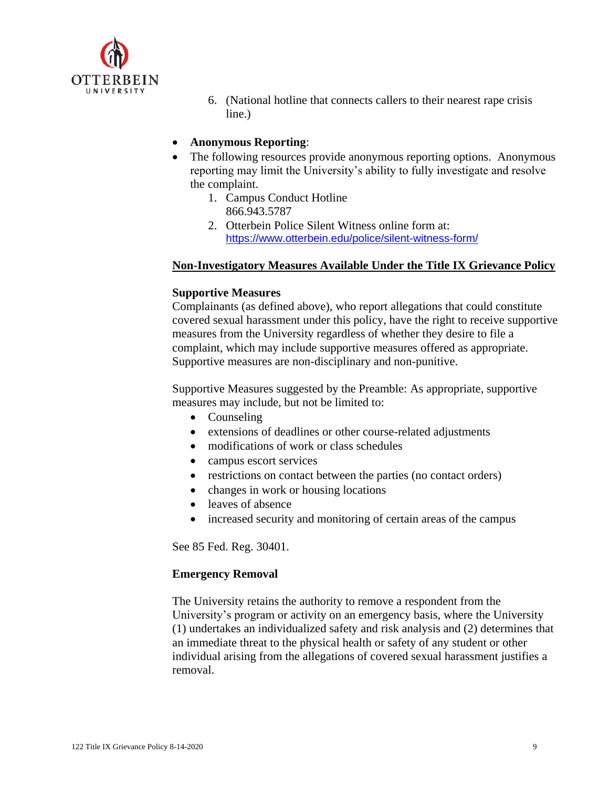

- 6. (National hotline that connects callers to their nearest rape crisis line.)
- **Anonymous Reporting**:
- The following resources provide anonymous reporting options. Anonymous reporting may limit the University's ability to fully investigate and resolve the complaint.
	- 1. Campus Conduct Hotline 866.943.5787
	- 2. Otterbein Police Silent Witness online form at: <https://www.otterbein.edu/police/silent-witness-form/>

#### **Non-Investigatory Measures Available Under the Title IX Grievance Policy**

#### **Supportive Measures**

Complainants (as defined above), who report allegations that could constitute covered sexual harassment under this policy, have the right to receive supportive measures from the University regardless of whether they desire to file a complaint, which may include supportive measures offered as appropriate. Supportive measures are non-disciplinary and non-punitive.

Supportive Measures suggested by the Preamble: As appropriate, supportive measures may include, but not be limited to:

- Counseling
- extensions of deadlines or other course-related adjustments
- modifications of work or class schedules
- campus escort services
- restrictions on contact between the parties (no contact orders)
- changes in work or housing locations
- leaves of absence
- increased security and monitoring of certain areas of the campus

See 85 Fed. Reg. 30401.

#### **Emergency Removal**

The University retains the authority to remove a respondent from the University's program or activity on an emergency basis, where the University (1) undertakes an individualized safety and risk analysis and (2) determines that an immediate threat to the physical health or safety of any student or other individual arising from the allegations of covered sexual harassment justifies a removal.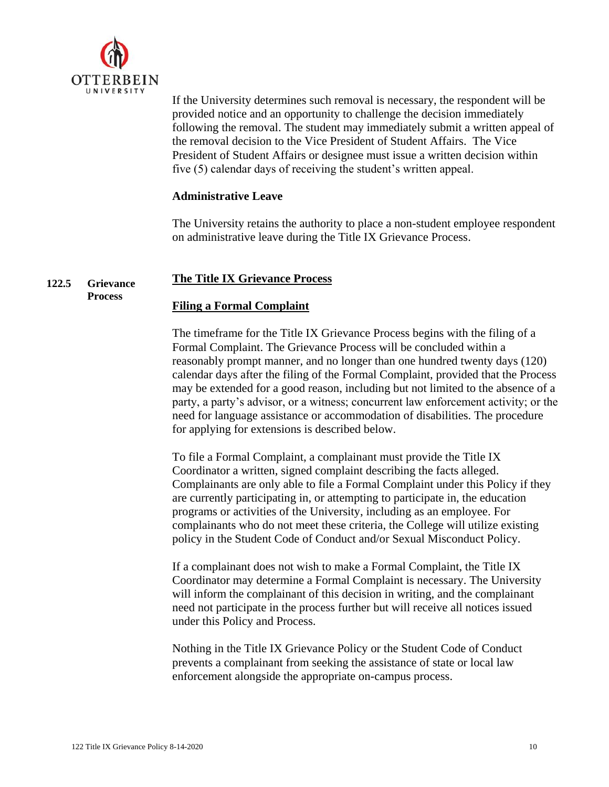

If the University determines such removal is necessary, the respondent will be provided notice and an opportunity to challenge the decision immediately following the removal. The student may immediately submit a written appeal of the removal decision to the Vice President of Student Affairs. The Vice President of Student Affairs or designee must issue a written decision within five (5) calendar days of receiving the student's written appeal.

# **Administrative Leave**

The University retains the authority to place a non-student employee respondent on administrative leave during the Title IX Grievance Process.

#### **122.5 Grievance The Title IX Grievance Process**

# **Process**

# **Filing a Formal Complaint**

The timeframe for the Title IX Grievance Process begins with the filing of a Formal Complaint. The Grievance Process will be concluded within a reasonably prompt manner, and no longer than one hundred twenty days (120) calendar days after the filing of the Formal Complaint, provided that the Process may be extended for a good reason, including but not limited to the absence of a party, a party's advisor, or a witness; concurrent law enforcement activity; or the need for language assistance or accommodation of disabilities. The procedure for applying for extensions is described below.

To file a Formal Complaint, a complainant must provide the Title IX Coordinator a written, signed complaint describing the facts alleged. Complainants are only able to file a Formal Complaint under this Policy if they are currently participating in, or attempting to participate in, the education programs or activities of the University, including as an employee. For complainants who do not meet these criteria, the College will utilize existing policy in the Student Code of Conduct and/or Sexual Misconduct Policy.

If a complainant does not wish to make a Formal Complaint, the Title IX Coordinator may determine a Formal Complaint is necessary. The University will inform the complainant of this decision in writing, and the complainant need not participate in the process further but will receive all notices issued under this Policy and Process.

Nothing in the Title IX Grievance Policy or the Student Code of Conduct prevents a complainant from seeking the assistance of state or local law enforcement alongside the appropriate on-campus process.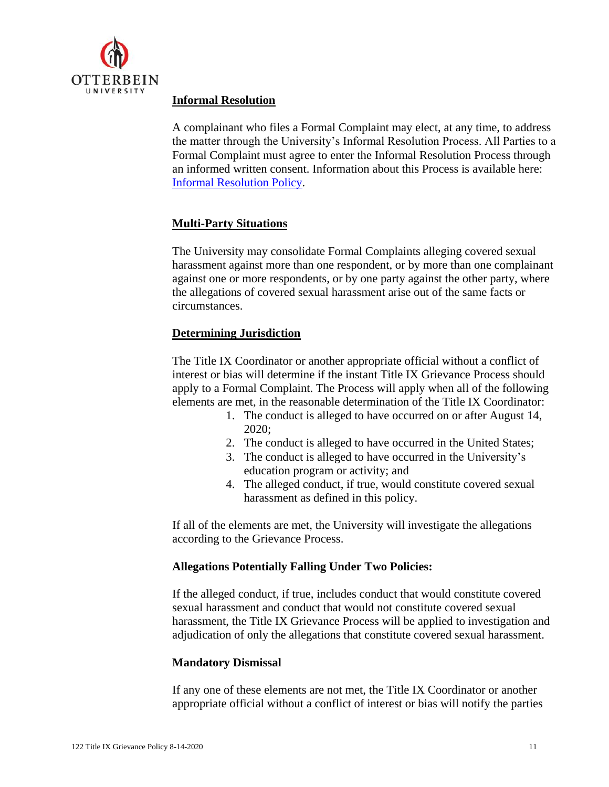

# **Informal Resolution**

A complainant who files a Formal Complaint may elect, at any time, to address the matter through the University's Informal Resolution Process. All Parties to a Formal Complaint must agree to enter the Informal Resolution Process through an informed written consent. Information about this Process is available here: [Informal Resolution Policy.](https://otterbein.sharepoint.com/sites/myozone/hr/Documents/Forms/AllItems.aspx?id=%2Fsites%2Fmyozone%2Fhr%2FDocuments%2FHR%2FHR%2FUniversity%20Policies%2F01%2DStandards%2F122%2E0%20Title%20IX%20Grievance%2F122%2E0%28A%29%20Informal%20Resolution%20Policy%2Epdf&parent=%2Fsites%2Fmyozone%2Fhr%2FDocuments%2FHR%2FHR%2FUniversity%20Policies%2F01%2DStandards%2F122%2E0%20Title%20IX%20Grievance&p=true&originalPath=aHR0cHM6Ly9vdHRlcmJlaW4uc2hhcmVwb2ludC5jb20vOmI6L3MvbXlvem9uZS9oci9FVmhhM0V4VUZ1dEZwMnlOWndQUG4yUUJyT1I4bTRod2lTUDA5eVBHUDZ6emZRP3J0aW1lPXVVeENsbUJBMkVn)

# **Multi-Party Situations**

The University may consolidate Formal Complaints alleging covered sexual harassment against more than one respondent, or by more than one complainant against one or more respondents, or by one party against the other party, where the allegations of covered sexual harassment arise out of the same facts or circumstances.

# **Determining Jurisdiction**

The Title IX Coordinator or another appropriate official without a conflict of interest or bias will determine if the instant Title IX Grievance Process should apply to a Formal Complaint. The Process will apply when all of the following elements are met, in the reasonable determination of the Title IX Coordinator:

- 1. The conduct is alleged to have occurred on or after August 14, 2020;
- 2. The conduct is alleged to have occurred in the United States;
- 3. The conduct is alleged to have occurred in the University's education program or activity; and
- 4. The alleged conduct, if true, would constitute covered sexual harassment as defined in this policy.

If all of the elements are met, the University will investigate the allegations according to the Grievance Process.

# **Allegations Potentially Falling Under Two Policies:**

If the alleged conduct, if true, includes conduct that would constitute covered sexual harassment and conduct that would not constitute covered sexual harassment, the Title IX Grievance Process will be applied to investigation and adjudication of only the allegations that constitute covered sexual harassment.

# **Mandatory Dismissal**

If any one of these elements are not met, the Title IX Coordinator or another appropriate official without a conflict of interest or bias will notify the parties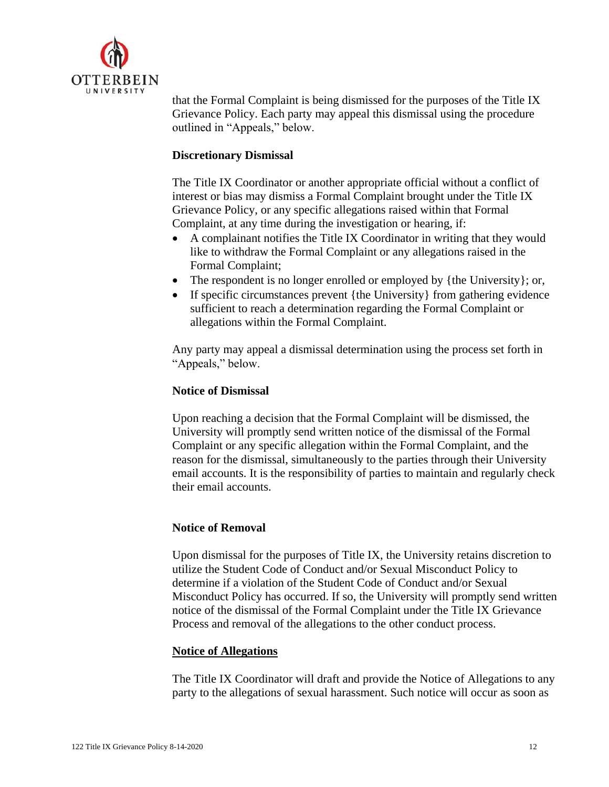

that the Formal Complaint is being dismissed for the purposes of the Title IX Grievance Policy. Each party may appeal this dismissal using the procedure outlined in "Appeals," below.

#### **Discretionary Dismissal**

The Title IX Coordinator or another appropriate official without a conflict of interest or bias may dismiss a Formal Complaint brought under the Title IX Grievance Policy, or any specific allegations raised within that Formal Complaint, at any time during the investigation or hearing, if:

- A complainant notifies the Title IX Coordinator in writing that they would like to withdraw the Formal Complaint or any allegations raised in the Formal Complaint;
- The respondent is no longer enrolled or employed by {the University}; or,
- If specific circumstances prevent {the University} from gathering evidence sufficient to reach a determination regarding the Formal Complaint or allegations within the Formal Complaint.

Any party may appeal a dismissal determination using the process set forth in "Appeals," below.

#### **Notice of Dismissal**

Upon reaching a decision that the Formal Complaint will be dismissed, the University will promptly send written notice of the dismissal of the Formal Complaint or any specific allegation within the Formal Complaint, and the reason for the dismissal, simultaneously to the parties through their University email accounts. It is the responsibility of parties to maintain and regularly check their email accounts.

#### **Notice of Removal**

Upon dismissal for the purposes of Title IX, the University retains discretion to utilize the Student Code of Conduct and/or Sexual Misconduct Policy to determine if a violation of the Student Code of Conduct and/or Sexual Misconduct Policy has occurred. If so, the University will promptly send written notice of the dismissal of the Formal Complaint under the Title IX Grievance Process and removal of the allegations to the other conduct process.

#### **Notice of Allegations**

The Title IX Coordinator will draft and provide the Notice of Allegations to any party to the allegations of sexual harassment. Such notice will occur as soon as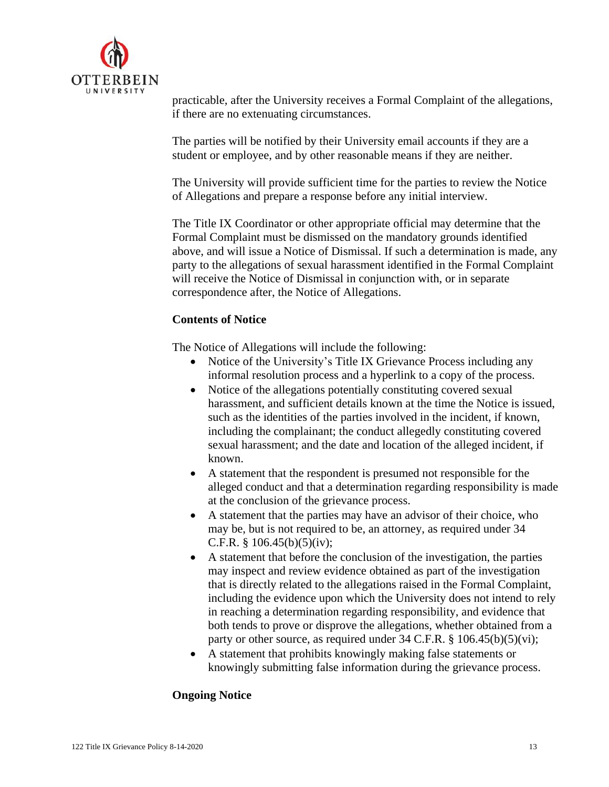

practicable, after the University receives a Formal Complaint of the allegations, if there are no extenuating circumstances.

The parties will be notified by their University email accounts if they are a student or employee, and by other reasonable means if they are neither.

The University will provide sufficient time for the parties to review the Notice of Allegations and prepare a response before any initial interview.

The Title IX Coordinator or other appropriate official may determine that the Formal Complaint must be dismissed on the mandatory grounds identified above, and will issue a Notice of Dismissal. If such a determination is made, any party to the allegations of sexual harassment identified in the Formal Complaint will receive the Notice of Dismissal in conjunction with, or in separate correspondence after, the Notice of Allegations.

# **Contents of Notice**

The Notice of Allegations will include the following:

- Notice of the University's Title IX Grievance Process including any informal resolution process and a hyperlink to a copy of the process.
- Notice of the allegations potentially constituting covered sexual harassment, and sufficient details known at the time the Notice is issued, such as the identities of the parties involved in the incident, if known, including the complainant; the conduct allegedly constituting covered sexual harassment; and the date and location of the alleged incident, if known.
- A statement that the respondent is presumed not responsible for the alleged conduct and that a determination regarding responsibility is made at the conclusion of the grievance process.
- A statement that the parties may have an advisor of their choice, who may be, but is not required to be, an attorney, as required under 34 C.F.R.  $\frac{8}{106.45(b)(5)(iv)}$ ;
- A statement that before the conclusion of the investigation, the parties may inspect and review evidence obtained as part of the investigation that is directly related to the allegations raised in the Formal Complaint, including the evidence upon which the University does not intend to rely in reaching a determination regarding responsibility, and evidence that both tends to prove or disprove the allegations, whether obtained from a party or other source, as required under  $34$  C.F.R. §  $106.45(b)(5)(vi)$ ;
- A statement that prohibits knowingly making false statements or knowingly submitting false information during the grievance process.

# **Ongoing Notice**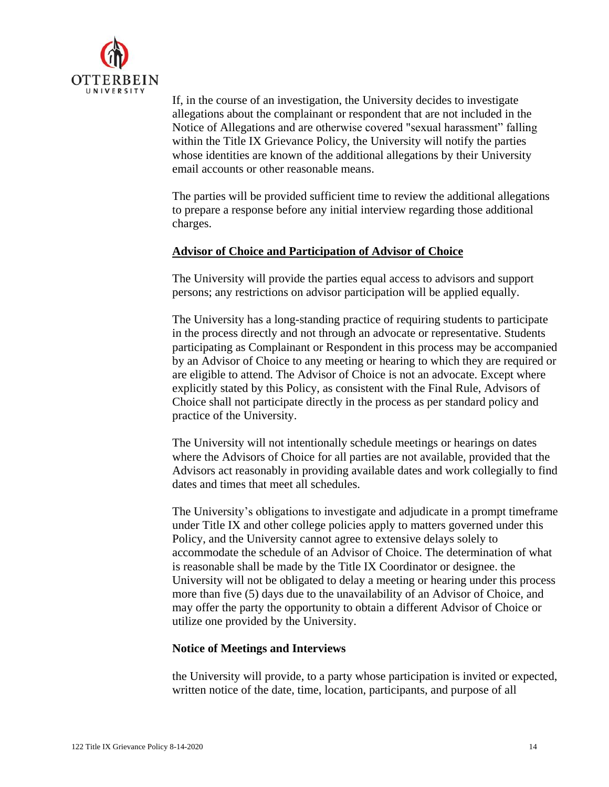

If, in the course of an investigation, the University decides to investigate allegations about the complainant or respondent that are not included in the Notice of Allegations and are otherwise covered "sexual harassment" falling within the Title IX Grievance Policy, the University will notify the parties whose identities are known of the additional allegations by their University email accounts or other reasonable means.

The parties will be provided sufficient time to review the additional allegations to prepare a response before any initial interview regarding those additional charges.

# **Advisor of Choice and Participation of Advisor of Choice**

The University will provide the parties equal access to advisors and support persons; any restrictions on advisor participation will be applied equally.

The University has a long-standing practice of requiring students to participate in the process directly and not through an advocate or representative. Students participating as Complainant or Respondent in this process may be accompanied by an Advisor of Choice to any meeting or hearing to which they are required or are eligible to attend. The Advisor of Choice is not an advocate. Except where explicitly stated by this Policy, as consistent with the Final Rule, Advisors of Choice shall not participate directly in the process as per standard policy and practice of the University.

The University will not intentionally schedule meetings or hearings on dates where the Advisors of Choice for all parties are not available, provided that the Advisors act reasonably in providing available dates and work collegially to find dates and times that meet all schedules.

The University's obligations to investigate and adjudicate in a prompt timeframe under Title IX and other college policies apply to matters governed under this Policy, and the University cannot agree to extensive delays solely to accommodate the schedule of an Advisor of Choice. The determination of what is reasonable shall be made by the Title IX Coordinator or designee. the University will not be obligated to delay a meeting or hearing under this process more than five (5) days due to the unavailability of an Advisor of Choice, and may offer the party the opportunity to obtain a different Advisor of Choice or utilize one provided by the University.

# **Notice of Meetings and Interviews**

the University will provide, to a party whose participation is invited or expected, written notice of the date, time, location, participants, and purpose of all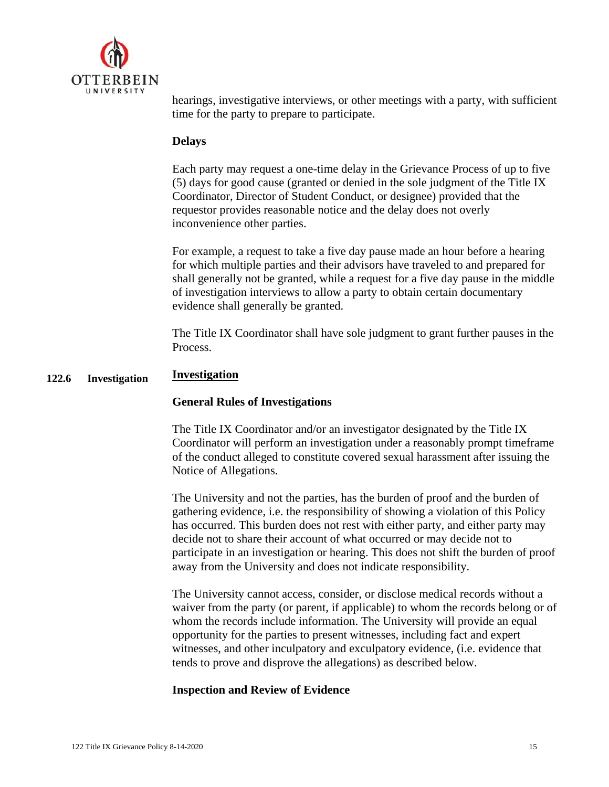

hearings, investigative interviews, or other meetings with a party, with sufficient time for the party to prepare to participate.

#### **Delays**

Each party may request a one-time delay in the Grievance Process of up to five (5) days for good cause (granted or denied in the sole judgment of the Title IX Coordinator, Director of Student Conduct, or designee) provided that the requestor provides reasonable notice and the delay does not overly inconvenience other parties.

For example, a request to take a five day pause made an hour before a hearing for which multiple parties and their advisors have traveled to and prepared for shall generally not be granted, while a request for a five day pause in the middle of investigation interviews to allow a party to obtain certain documentary evidence shall generally be granted.

The Title IX Coordinator shall have sole judgment to grant further pauses in the Process.

#### **122.6 Investigation Investigation**

#### **General Rules of Investigations**

The Title IX Coordinator and/or an investigator designated by the Title IX Coordinator will perform an investigation under a reasonably prompt timeframe of the conduct alleged to constitute covered sexual harassment after issuing the Notice of Allegations.

The University and not the parties, has the burden of proof and the burden of gathering evidence, i.e. the responsibility of showing a violation of this Policy has occurred. This burden does not rest with either party, and either party may decide not to share their account of what occurred or may decide not to participate in an investigation or hearing. This does not shift the burden of proof away from the University and does not indicate responsibility.

The University cannot access, consider, or disclose medical records without a waiver from the party (or parent, if applicable) to whom the records belong or of whom the records include information. The University will provide an equal opportunity for the parties to present witnesses, including fact and expert witnesses, and other inculpatory and exculpatory evidence, (i.e. evidence that tends to prove and disprove the allegations) as described below.

#### **Inspection and Review of Evidence**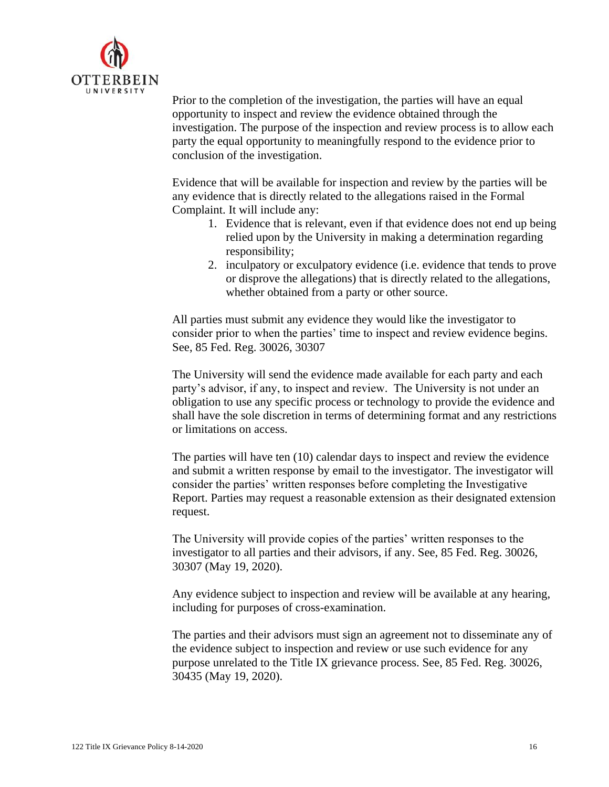

Prior to the completion of the investigation, the parties will have an equal opportunity to inspect and review the evidence obtained through the investigation. The purpose of the inspection and review process is to allow each party the equal opportunity to meaningfully respond to the evidence prior to conclusion of the investigation.

Evidence that will be available for inspection and review by the parties will be any evidence that is directly related to the allegations raised in the Formal Complaint. It will include any:

- 1. Evidence that is relevant, even if that evidence does not end up being relied upon by the University in making a determination regarding responsibility;
- 2. inculpatory or exculpatory evidence (i.e. evidence that tends to prove or disprove the allegations) that is directly related to the allegations, whether obtained from a party or other source.

All parties must submit any evidence they would like the investigator to consider prior to when the parties' time to inspect and review evidence begins. See, 85 Fed. Reg. 30026, 30307

The University will send the evidence made available for each party and each party's advisor, if any, to inspect and review. The University is not under an obligation to use any specific process or technology to provide the evidence and shall have the sole discretion in terms of determining format and any restrictions or limitations on access.

The parties will have ten (10) calendar days to inspect and review the evidence and submit a written response by email to the investigator. The investigator will consider the parties' written responses before completing the Investigative Report. Parties may request a reasonable extension as their designated extension request.

The University will provide copies of the parties' written responses to the investigator to all parties and their advisors, if any. See, 85 Fed. Reg. 30026, 30307 (May 19, 2020).

Any evidence subject to inspection and review will be available at any hearing, including for purposes of cross-examination.

The parties and their advisors must sign an agreement not to disseminate any of the evidence subject to inspection and review or use such evidence for any purpose unrelated to the Title IX grievance process. See, 85 Fed. Reg. 30026, 30435 (May 19, 2020).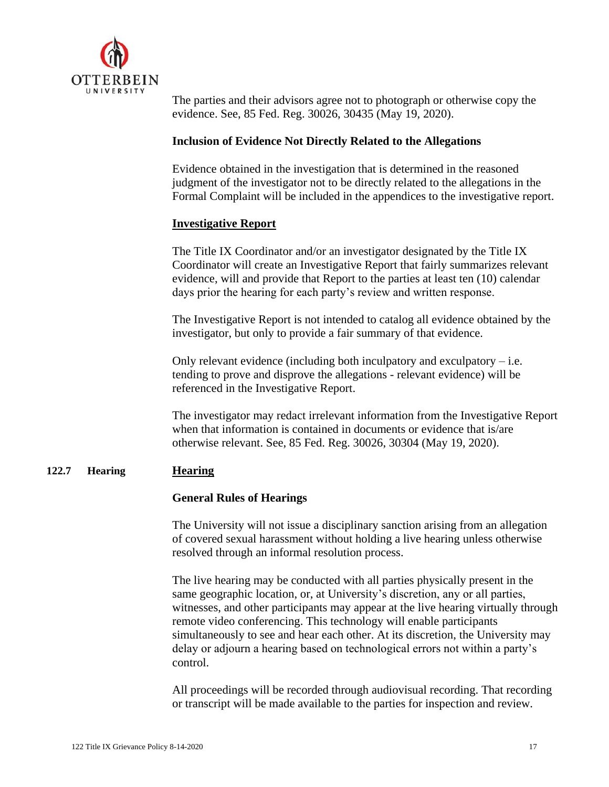

The parties and their advisors agree not to photograph or otherwise copy the evidence. See, 85 Fed. Reg. 30026, 30435 (May 19, 2020).

#### **Inclusion of Evidence Not Directly Related to the Allegations**

Evidence obtained in the investigation that is determined in the reasoned judgment of the investigator not to be directly related to the allegations in the Formal Complaint will be included in the appendices to the investigative report.

# **Investigative Report**

The Title IX Coordinator and/or an investigator designated by the Title IX Coordinator will create an Investigative Report that fairly summarizes relevant evidence, will and provide that Report to the parties at least ten (10) calendar days prior the hearing for each party's review and written response.

The Investigative Report is not intended to catalog all evidence obtained by the investigator, but only to provide a fair summary of that evidence.

Only relevant evidence (including both inculpatory and exculpatory  $-$  i.e. tending to prove and disprove the allegations - relevant evidence) will be referenced in the Investigative Report.

The investigator may redact irrelevant information from the Investigative Report when that information is contained in documents or evidence that is/are otherwise relevant. See, 85 Fed. Reg. 30026, 30304 (May 19, 2020).

#### **122.7 Hearing Hearing**

#### **General Rules of Hearings**

The University will not issue a disciplinary sanction arising from an allegation of covered sexual harassment without holding a live hearing unless otherwise resolved through an informal resolution process.

The live hearing may be conducted with all parties physically present in the same geographic location, or, at University's discretion, any or all parties, witnesses, and other participants may appear at the live hearing virtually through remote video conferencing. This technology will enable participants simultaneously to see and hear each other. At its discretion, the University may delay or adjourn a hearing based on technological errors not within a party's control.

All proceedings will be recorded through audiovisual recording. That recording or transcript will be made available to the parties for inspection and review.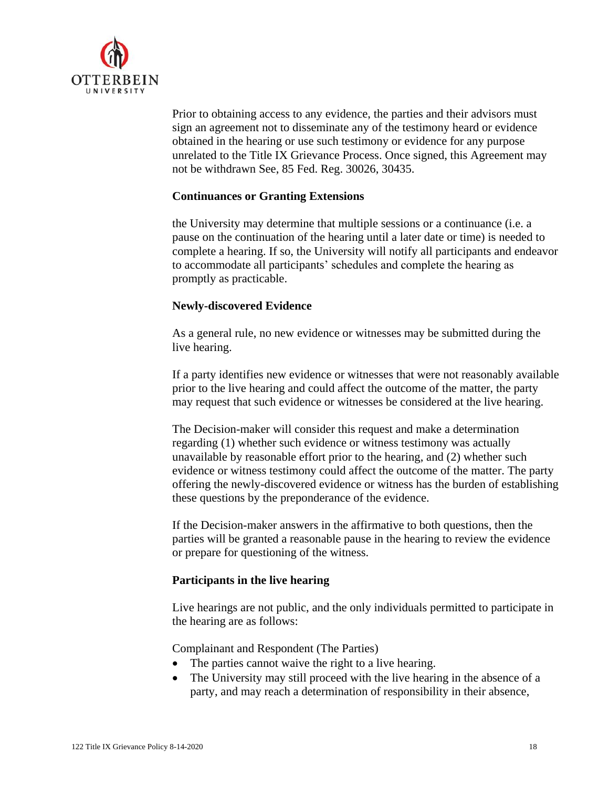

Prior to obtaining access to any evidence, the parties and their advisors must sign an agreement not to disseminate any of the testimony heard or evidence obtained in the hearing or use such testimony or evidence for any purpose unrelated to the Title IX Grievance Process. Once signed, this Agreement may not be withdrawn See, 85 Fed. Reg. 30026, 30435.

#### **Continuances or Granting Extensions**

the University may determine that multiple sessions or a continuance (i.e. a pause on the continuation of the hearing until a later date or time) is needed to complete a hearing. If so, the University will notify all participants and endeavor to accommodate all participants' schedules and complete the hearing as promptly as practicable.

# **Newly-discovered Evidence**

As a general rule, no new evidence or witnesses may be submitted during the live hearing.

If a party identifies new evidence or witnesses that were not reasonably available prior to the live hearing and could affect the outcome of the matter, the party may request that such evidence or witnesses be considered at the live hearing.

The Decision-maker will consider this request and make a determination regarding (1) whether such evidence or witness testimony was actually unavailable by reasonable effort prior to the hearing, and (2) whether such evidence or witness testimony could affect the outcome of the matter. The party offering the newly-discovered evidence or witness has the burden of establishing these questions by the preponderance of the evidence.

If the Decision-maker answers in the affirmative to both questions, then the parties will be granted a reasonable pause in the hearing to review the evidence or prepare for questioning of the witness.

# **Participants in the live hearing**

Live hearings are not public, and the only individuals permitted to participate in the hearing are as follows:

Complainant and Respondent (The Parties)

- The parties cannot waive the right to a live hearing.
- The University may still proceed with the live hearing in the absence of a party, and may reach a determination of responsibility in their absence,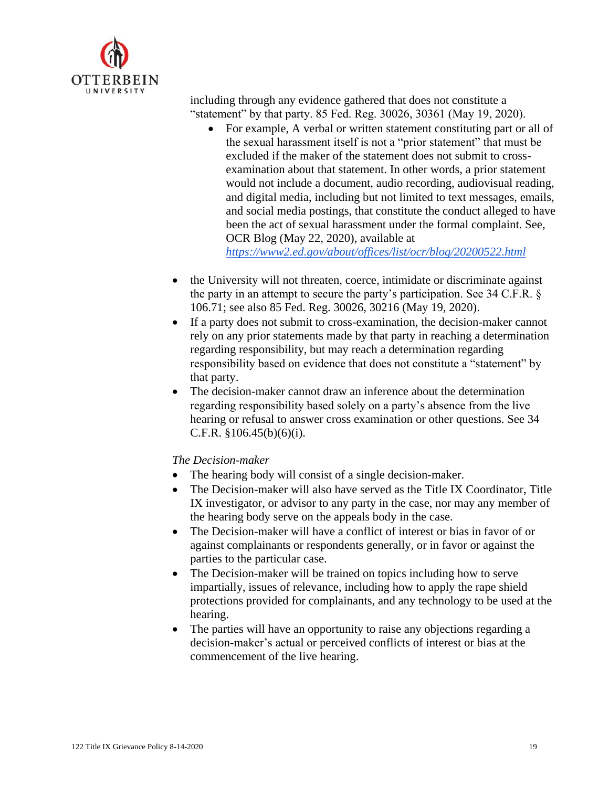

including through any evidence gathered that does not constitute a "statement" by that party. 85 Fed. Reg. 30026, 30361 (May 19, 2020).

- For example, A verbal or written statement constituting part or all of the sexual harassment itself is not a "prior statement" that must be excluded if the maker of the statement does not submit to crossexamination about that statement. In other words, a prior statement would not include a document, audio recording, audiovisual reading, and digital media, including but not limited to text messages, emails, and social media postings, that constitute the conduct alleged to have been the act of sexual harassment under the formal complaint. See, OCR Blog (May 22, 2020), available at *<https://www2.ed.gov/about/offices/list/ocr/blog/20200522.html>*
- the University will not threaten, coerce, intimidate or discriminate against the party in an attempt to secure the party's participation. See 34 C.F.R. § 106.71; see also 85 Fed. Reg. 30026, 30216 (May 19, 2020).
- If a party does not submit to cross-examination, the decision-maker cannot rely on any prior statements made by that party in reaching a determination regarding responsibility, but may reach a determination regarding responsibility based on evidence that does not constitute a "statement" by that party.
- The decision-maker cannot draw an inference about the determination regarding responsibility based solely on a party's absence from the live hearing or refusal to answer cross examination or other questions. See 34 C.F.R.  $§106.45(b)(6)(i)$ .

# *The Decision-maker*

- The hearing body will consist of a single decision-maker.
- The Decision-maker will also have served as the Title IX Coordinator, Title IX investigator, or advisor to any party in the case, nor may any member of the hearing body serve on the appeals body in the case.
- The Decision-maker will have a conflict of interest or bias in favor of or against complainants or respondents generally, or in favor or against the parties to the particular case.
- The Decision-maker will be trained on topics including how to serve impartially, issues of relevance, including how to apply the rape shield protections provided for complainants, and any technology to be used at the hearing.
- The parties will have an opportunity to raise any objections regarding a decision-maker's actual or perceived conflicts of interest or bias at the commencement of the live hearing.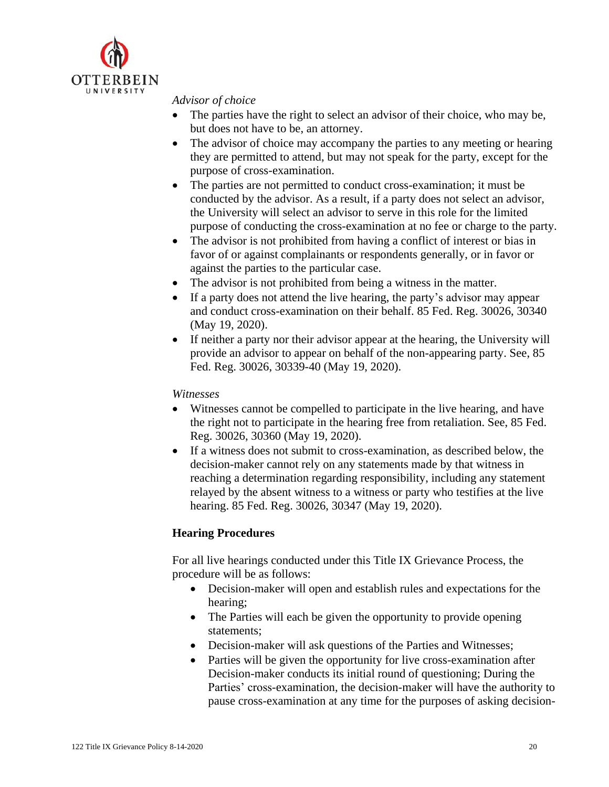

#### *Advisor of choice*

- The parties have the right to select an advisor of their choice, who may be, but does not have to be, an attorney.
- The advisor of choice may accompany the parties to any meeting or hearing they are permitted to attend, but may not speak for the party, except for the purpose of cross-examination.
- The parties are not permitted to conduct cross-examination; it must be conducted by the advisor. As a result, if a party does not select an advisor, the University will select an advisor to serve in this role for the limited purpose of conducting the cross-examination at no fee or charge to the party.
- The advisor is not prohibited from having a conflict of interest or bias in favor of or against complainants or respondents generally, or in favor or against the parties to the particular case.
- The advisor is not prohibited from being a witness in the matter.
- If a party does not attend the live hearing, the party's advisor may appear and conduct cross-examination on their behalf. 85 Fed. Reg. 30026, 30340 (May 19, 2020).
- If neither a party nor their advisor appear at the hearing, the University will provide an advisor to appear on behalf of the non-appearing party. See, 85 Fed. Reg. 30026, 30339-40 (May 19, 2020).

# *Witnesses*

- Witnesses cannot be compelled to participate in the live hearing, and have the right not to participate in the hearing free from retaliation. See, 85 Fed. Reg. 30026, 30360 (May 19, 2020).
- If a witness does not submit to cross-examination, as described below, the decision-maker cannot rely on any statements made by that witness in reaching a determination regarding responsibility, including any statement relayed by the absent witness to a witness or party who testifies at the live hearing. 85 Fed. Reg. 30026, 30347 (May 19, 2020).

# **Hearing Procedures**

For all live hearings conducted under this Title IX Grievance Process, the procedure will be as follows:

- Decision-maker will open and establish rules and expectations for the hearing;
- The Parties will each be given the opportunity to provide opening statements;
- Decision-maker will ask questions of the Parties and Witnesses;
- Parties will be given the opportunity for live cross-examination after Decision-maker conducts its initial round of questioning; During the Parties' cross-examination, the decision-maker will have the authority to pause cross-examination at any time for the purposes of asking decision-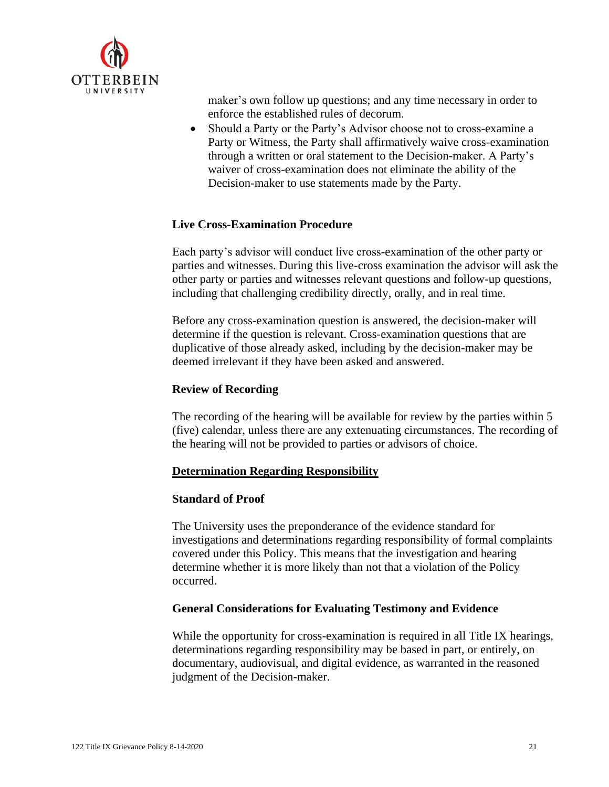

maker's own follow up questions; and any time necessary in order to enforce the established rules of decorum.

• Should a Party or the Party's Advisor choose not to cross-examine a Party or Witness, the Party shall affirmatively waive cross-examination through a written or oral statement to the Decision-maker. A Party's waiver of cross-examination does not eliminate the ability of the Decision-maker to use statements made by the Party.

# **Live Cross-Examination Procedure**

Each party's advisor will conduct live cross-examination of the other party or parties and witnesses. During this live-cross examination the advisor will ask the other party or parties and witnesses relevant questions and follow-up questions, including that challenging credibility directly, orally, and in real time.

Before any cross-examination question is answered, the decision-maker will determine if the question is relevant. Cross-examination questions that are duplicative of those already asked, including by the decision-maker may be deemed irrelevant if they have been asked and answered.

#### **Review of Recording**

The recording of the hearing will be available for review by the parties within 5 (five) calendar, unless there are any extenuating circumstances. The recording of the hearing will not be provided to parties or advisors of choice.

#### **Determination Regarding Responsibility**

#### **Standard of Proof**

The University uses the preponderance of the evidence standard for investigations and determinations regarding responsibility of formal complaints covered under this Policy. This means that the investigation and hearing determine whether it is more likely than not that a violation of the Policy occurred.

#### **General Considerations for Evaluating Testimony and Evidence**

While the opportunity for cross-examination is required in all Title IX hearings, determinations regarding responsibility may be based in part, or entirely, on documentary, audiovisual, and digital evidence, as warranted in the reasoned judgment of the Decision-maker.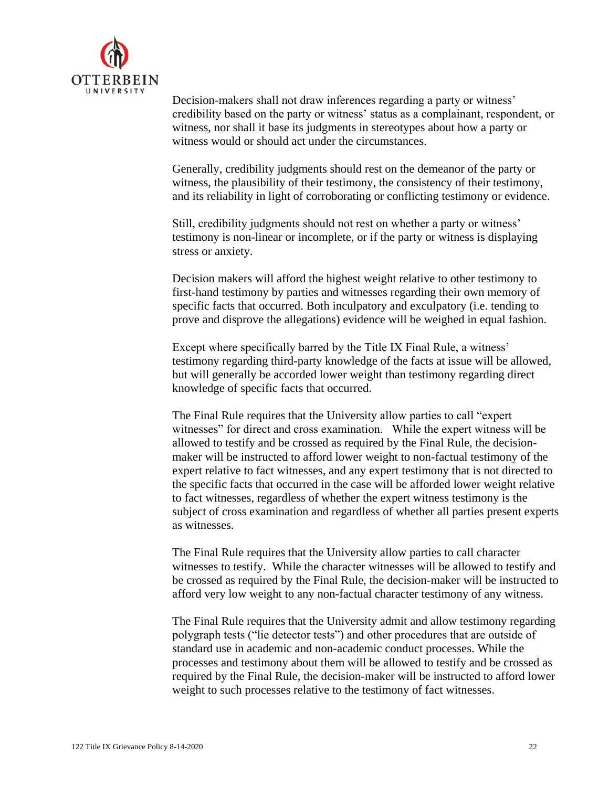

Decision-makers shall not draw inferences regarding a party or witness' credibility based on the party or witness' status as a complainant, respondent, or witness, nor shall it base its judgments in stereotypes about how a party or witness would or should act under the circumstances.

Generally, credibility judgments should rest on the demeanor of the party or witness, the plausibility of their testimony, the consistency of their testimony, and its reliability in light of corroborating or conflicting testimony or evidence.

Still, credibility judgments should not rest on whether a party or witness' testimony is non-linear or incomplete, or if the party or witness is displaying stress or anxiety.

Decision makers will afford the highest weight relative to other testimony to first-hand testimony by parties and witnesses regarding their own memory of specific facts that occurred. Both inculpatory and exculpatory (i.e. tending to prove and disprove the allegations) evidence will be weighed in equal fashion.

Except where specifically barred by the Title IX Final Rule, a witness' testimony regarding third-party knowledge of the facts at issue will be allowed, but will generally be accorded lower weight than testimony regarding direct knowledge of specific facts that occurred.

The Final Rule requires that the University allow parties to call "expert witnesses" for direct and cross examination. While the expert witness will be allowed to testify and be crossed as required by the Final Rule, the decisionmaker will be instructed to afford lower weight to non-factual testimony of the expert relative to fact witnesses, and any expert testimony that is not directed to the specific facts that occurred in the case will be afforded lower weight relative to fact witnesses, regardless of whether the expert witness testimony is the subject of cross examination and regardless of whether all parties present experts as witnesses.

The Final Rule requires that the University allow parties to call character witnesses to testify. While the character witnesses will be allowed to testify and be crossed as required by the Final Rule, the decision-maker will be instructed to afford very low weight to any non-factual character testimony of any witness.

The Final Rule requires that the University admit and allow testimony regarding polygraph tests ("lie detector tests") and other procedures that are outside of standard use in academic and non-academic conduct processes. While the processes and testimony about them will be allowed to testify and be crossed as required by the Final Rule, the decision-maker will be instructed to afford lower weight to such processes relative to the testimony of fact witnesses.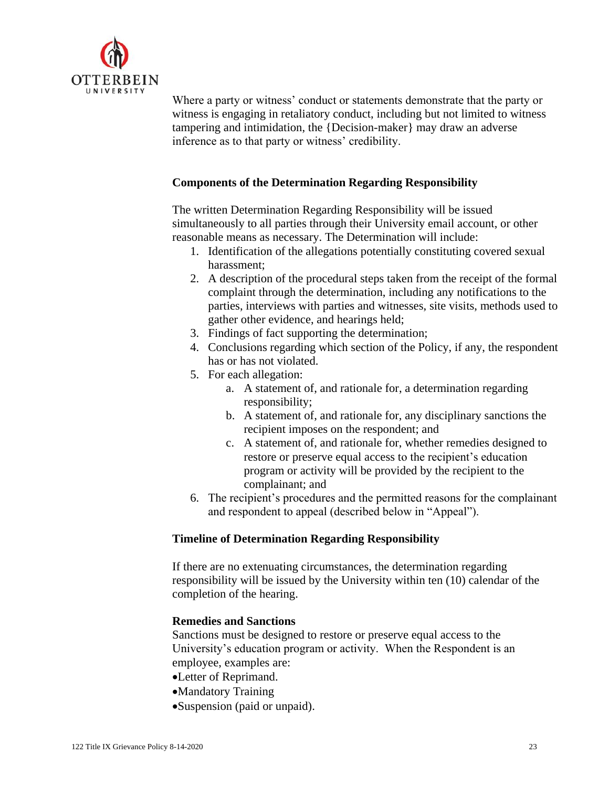

Where a party or witness' conduct or statements demonstrate that the party or witness is engaging in retaliatory conduct, including but not limited to witness tampering and intimidation, the {Decision-maker} may draw an adverse inference as to that party or witness' credibility.

# **Components of the Determination Regarding Responsibility**

The written Determination Regarding Responsibility will be issued simultaneously to all parties through their University email account, or other reasonable means as necessary. The Determination will include:

- 1. Identification of the allegations potentially constituting covered sexual harassment;
- 2. A description of the procedural steps taken from the receipt of the formal complaint through the determination, including any notifications to the parties, interviews with parties and witnesses, site visits, methods used to gather other evidence, and hearings held;
- 3. Findings of fact supporting the determination;
- 4. Conclusions regarding which section of the Policy, if any, the respondent has or has not violated.
- 5. For each allegation:
	- a. A statement of, and rationale for, a determination regarding responsibility;
	- b. A statement of, and rationale for, any disciplinary sanctions the recipient imposes on the respondent; and
	- c. A statement of, and rationale for, whether remedies designed to restore or preserve equal access to the recipient's education program or activity will be provided by the recipient to the complainant; and
- 6. The recipient's procedures and the permitted reasons for the complainant and respondent to appeal (described below in "Appeal").

# **Timeline of Determination Regarding Responsibility**

If there are no extenuating circumstances, the determination regarding responsibility will be issued by the University within ten (10) calendar of the completion of the hearing.

# **Remedies and Sanctions**

Sanctions must be designed to restore or preserve equal access to the University's education program or activity. When the Respondent is an employee, examples are:

- •Letter of Reprimand.
- •Mandatory Training
- •Suspension (paid or unpaid).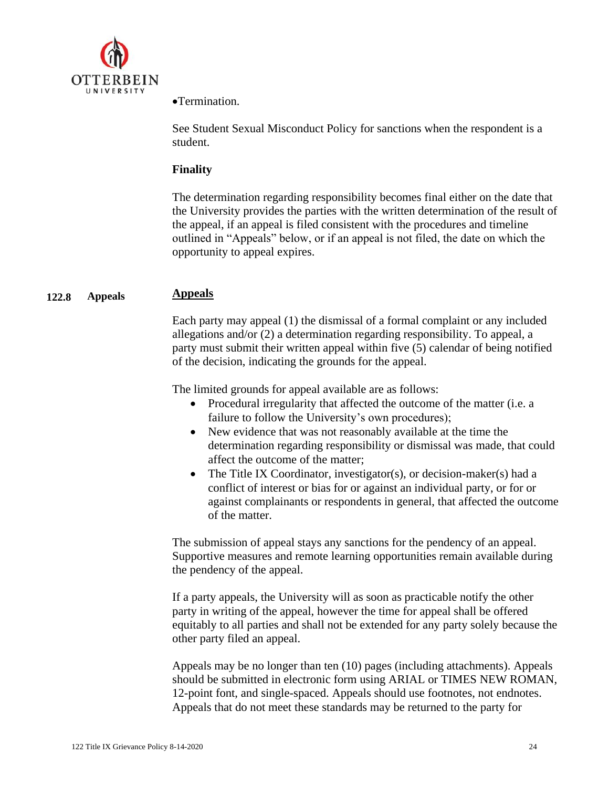

•Termination.

See Student Sexual Misconduct Policy for sanctions when the respondent is a student.

# **Finality**

The determination regarding responsibility becomes final either on the date that the University provides the parties with the written determination of the result of the appeal, if an appeal is filed consistent with the procedures and timeline outlined in "Appeals" below, or if an appeal is not filed, the date on which the opportunity to appeal expires.

#### **122.8 Appeals Appeals**

Each party may appeal (1) the dismissal of a formal complaint or any included allegations and/or (2) a determination regarding responsibility. To appeal, a party must submit their written appeal within five (5) calendar of being notified of the decision, indicating the grounds for the appeal.

The limited grounds for appeal available are as follows:

- Procedural irregularity that affected the outcome of the matter (i.e. a failure to follow the University's own procedures);
- New evidence that was not reasonably available at the time the determination regarding responsibility or dismissal was made, that could affect the outcome of the matter;
- The Title IX Coordinator, investigator(s), or decision-maker(s) had a conflict of interest or bias for or against an individual party, or for or against complainants or respondents in general, that affected the outcome of the matter.

The submission of appeal stays any sanctions for the pendency of an appeal. Supportive measures and remote learning opportunities remain available during the pendency of the appeal.

If a party appeals, the University will as soon as practicable notify the other party in writing of the appeal, however the time for appeal shall be offered equitably to all parties and shall not be extended for any party solely because the other party filed an appeal.

Appeals may be no longer than ten (10) pages (including attachments). Appeals should be submitted in electronic form using ARIAL or TIMES NEW ROMAN, 12-point font, and single-spaced. Appeals should use footnotes, not endnotes. Appeals that do not meet these standards may be returned to the party for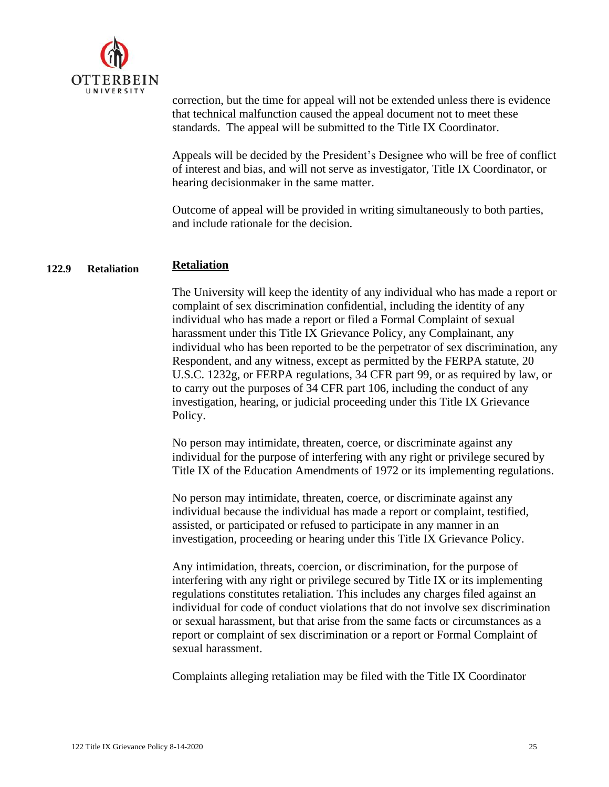

correction, but the time for appeal will not be extended unless there is evidence that technical malfunction caused the appeal document not to meet these standards. The appeal will be submitted to the Title IX Coordinator.

Appeals will be decided by the President's Designee who will be free of conflict of interest and bias, and will not serve as investigator, Title IX Coordinator, or hearing decisionmaker in the same matter.

Outcome of appeal will be provided in writing simultaneously to both parties, and include rationale for the decision.

#### **122.9 Retaliation Retaliation**

The University will keep the identity of any individual who has made a report or complaint of sex discrimination confidential, including the identity of any individual who has made a report or filed a Formal Complaint of sexual harassment under this Title IX Grievance Policy, any Complainant, any individual who has been reported to be the perpetrator of sex discrimination, any Respondent, and any witness, except as permitted by the FERPA statute, 20 U.S.C. 1232g, or FERPA regulations, 34 CFR part 99, or as required by law, or to carry out the purposes of 34 CFR part 106, including the conduct of any investigation, hearing, or judicial proceeding under this Title IX Grievance Policy.

No person may intimidate, threaten, coerce, or discriminate against any individual for the purpose of interfering with any right or privilege secured by Title IX of the Education Amendments of 1972 or its implementing regulations.

No person may intimidate, threaten, coerce, or discriminate against any individual because the individual has made a report or complaint, testified, assisted, or participated or refused to participate in any manner in an investigation, proceeding or hearing under this Title IX Grievance Policy.

Any intimidation, threats, coercion, or discrimination, for the purpose of interfering with any right or privilege secured by Title IX or its implementing regulations constitutes retaliation. This includes any charges filed against an individual for code of conduct violations that do not involve sex discrimination or sexual harassment, but that arise from the same facts or circumstances as a report or complaint of sex discrimination or a report or Formal Complaint of sexual harassment.

Complaints alleging retaliation may be filed with the Title IX Coordinator